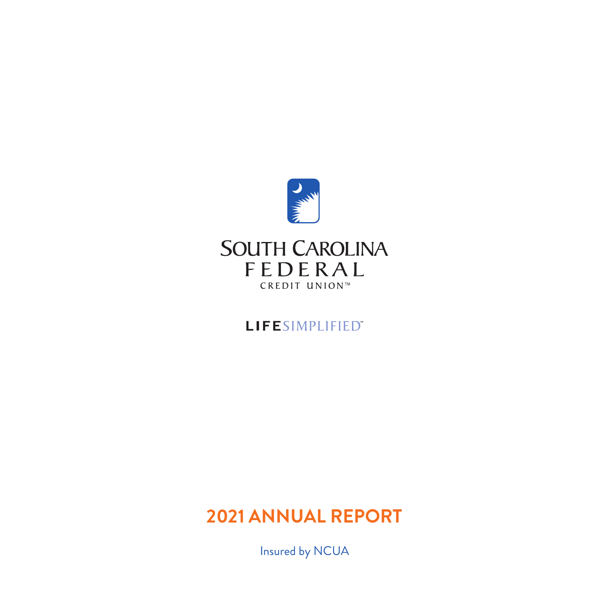

# LIFESIMPLIFIED"

# **2021 ANNUAL REPORT**

Insured by NCUA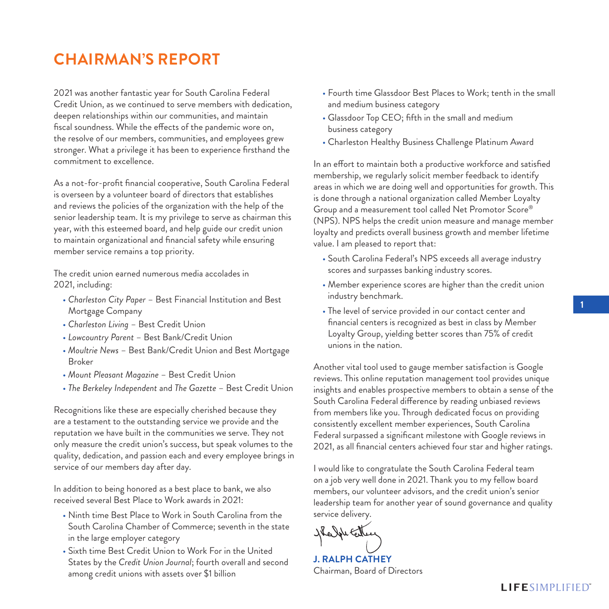# **CHAIRMAN'S REPORT**

2021 was another fantastic year for South Carolina Federal Credit Union, as we continued to serve members with dedication, deepen relationships within our communities, and maintain fiscal soundness. While the effects of the pandemic wore on, the resolve of our members, communities, and employees grew stronger. What a privilege it has been to experience firsthand the commitment to excellence.

As a not-for-profit financial cooperative, South Carolina Federal is overseen by a volunteer board of directors that establishes and reviews the policies of the organization with the help of the senior leadership team. It is my privilege to serve as chairman this year, with this esteemed board, and help guide our credit union to maintain organizational and financial safety while ensuring member service remains a top priority.

The credit union earned numerous media accolades in 2021, including:

- *Charleston City Paper* Best Financial Institution and Best Mortgage Company
- *Charleston Living* Best Credit Union
- *Lowcountry Parent* Best Bank/Credit Union
- *Moultrie News* Best Bank/Credit Union and Best Mortgage Broker
- *Mount Pleasant Magazine* Best Credit Union
- *The Berkeley Independent* and *The Gazette* Best Credit Union

Recognitions like these are especially cherished because they are a testament to the outstanding service we provide and the reputation we have built in the communities we serve. They not only measure the credit union's success, but speak volumes to the quality, dedication, and passion each and every employee brings in service of our members day after day.

In addition to being honored as a best place to bank, we also received several Best Place to Work awards in 2021:

- Ninth time Best Place to Work in South Carolina from the South Carolina Chamber of Commerce; seventh in the state in the large employer category
- Sixth time Best Credit Union to Work For in the United States by the *Credit Union Journal*; fourth overall and second among credit unions with assets over \$1 billion
- Fourth time Glassdoor Best Places to Work; tenth in the small and medium business category
- Glassdoor Top CEO; fifth in the small and medium business category
- Charleston Healthy Business Challenge Platinum Award

In an effort to maintain both a productive workforce and satisfied membership, we regularly solicit member feedback to identify areas in which we are doing well and opportunities for growth. This is done through a national organization called Member Loyalty Group and a measurement tool called Net Promotor Score® (NPS). NPS helps the credit union measure and manage member loyalty and predicts overall business growth and member lifetime value. I am pleased to report that:

- South Carolina Federal's NPS exceeds all average industry scores and surpasses banking industry scores.
- Member experience scores are higher than the credit union industry benchmark.
- The level of service provided in our contact center and financial centers is recognized as best in class by Member Loyalty Group, yielding better scores than 75% of credit unions in the nation.

Another vital tool used to gauge member satisfaction is Google reviews. This online reputation management tool provides unique insights and enables prospective members to obtain a sense of the South Carolina Federal difference by reading unbiased reviews from members like you. Through dedicated focus on providing consistently excellent member experiences, South Carolina Federal surpassed a significant milestone with Google reviews in 2021, as all financial centers achieved four star and higher ratings.

I would like to congratulate the South Carolina Federal team on a job very well done in 2021. Thank you to my fellow board members, our volunteer advisors, and the credit union's senior leadership team for another year of sound governance and quality service delivery.

He John Center

**J. RALPH CATHEY** Chairman, Board of Directors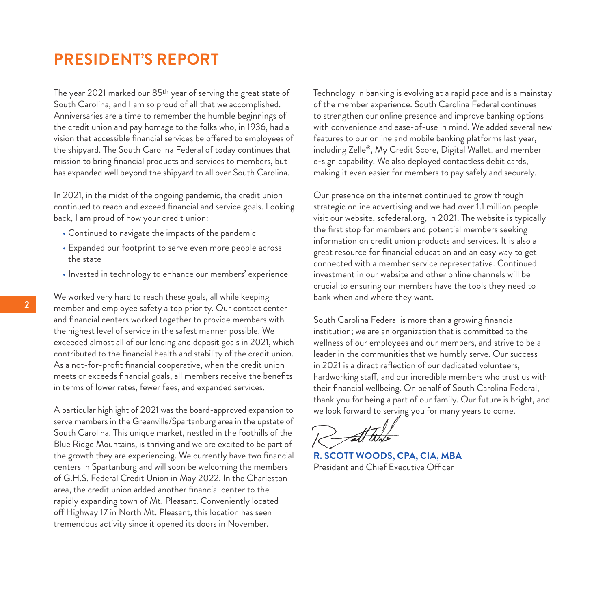## **PRESIDENT'S REPORT**

The year 2021 marked our 85<sup>th</sup> year of serving the great state of South Carolina, and I am so proud of all that we accomplished. Anniversaries are a time to remember the humble beginnings of the credit union and pay homage to the folks who, in 1936, had a vision that accessible financial services be offered to employees of the shipyard. The South Carolina Federal of today continues that mission to bring financial products and services to members, but has expanded well beyond the shipyard to all over South Carolina.

In 2021, in the midst of the ongoing pandemic, the credit union continued to reach and exceed financial and service goals. Looking back, I am proud of how your credit union:

- Continued to navigate the impacts of the pandemic
- Expanded our footprint to serve even more people across the state
- Invested in technology to enhance our members' experience

We worked very hard to reach these goals, all while keeping member and employee safety a top priority. Our contact center and financial centers worked together to provide members with the highest level of service in the safest manner possible. We exceeded almost all of our lending and deposit goals in 2021, which contributed to the financial health and stability of the credit union. As a not-for-profit financial cooperative, when the credit union meets or exceeds financial goals, all members receive the benefits in terms of lower rates, fewer fees, and expanded services.

A particular highlight of 2021 was the board-approved expansion to serve members in the Greenville/Spartanburg area in the upstate of South Carolina. This unique market, nestled in the foothills of the Blue Ridge Mountains, is thriving and we are excited to be part of the growth they are experiencing. We currently have two financial centers in Spartanburg and will soon be welcoming the members of G.H.S. Federal Credit Union in May 2022. In the Charleston area, the credit union added another financial center to the rapidly expanding town of Mt. Pleasant. Conveniently located off Highway 17 in North Mt. Pleasant, this location has seen tremendous activity since it opened its doors in November.

Technology in banking is evolving at a rapid pace and is a mainstay of the member experience. South Carolina Federal continues to strengthen our online presence and improve banking options with convenience and ease-of-use in mind. We added several new features to our online and mobile banking platforms last year, including Zelle®, My Credit Score, Digital Wallet, and member e-sign capability. We also deployed contactless debit cards, making it even easier for members to pay safely and securely.

Our presence on the internet continued to grow through strategic online advertising and we had over 1.1 million people visit our website, scfederal.org, in 2021. The website is typically the first stop for members and potential members seeking information on credit union products and services. It is also a great resource for financial education and an easy way to get connected with a member service representative. Continued investment in our website and other online channels will be crucial to ensuring our members have the tools they need to bank when and where they want.

South Carolina Federal is more than a growing financial institution; we are an organization that is committed to the wellness of our employees and our members, and strive to be a leader in the communities that we humbly serve. Our success in 2021 is a direct reflection of our dedicated volunteers, hardworking staff, and our incredible members who trust us with their financial wellbeing. On behalf of South Carolina Federal, thank you for being a part of our family. Our future is bright, and we look forward to serving you for many years to come.

**R. SCOTT WOODS, CPA, CIA, MBA** President and Chief Executive Officer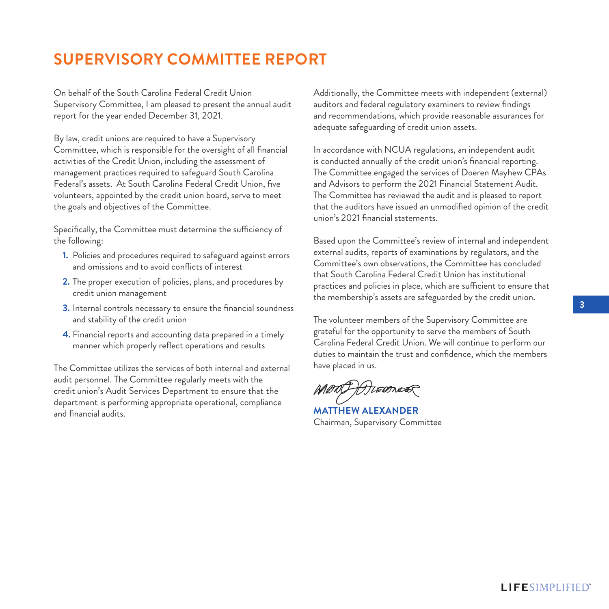# **SUPERVISORY COMMITTEE REPORT**

On behalf of the South Carolina Federal Credit Union Supervisory Committee, I am pleased to present the annual audit report for the year ended December 31, 2021.

By law, credit unions are required to have a Supervisory Committee, which is responsible for the oversight of all financial activities of the Credit Union, including the assessment of management practices required to safeguard South Carolina Federal's assets. At South Carolina Federal Credit Union, five volunteers, appointed by the credit union board, serve to meet the goals and objectives of the Committee.

Specifically, the Committee must determine the sufficiency of the following:

- **1.** Policies and procedures required to safeguard against errors and omissions and to avoid conflicts of interest
- **2.** The proper execution of policies, plans, and procedures by credit union management
- **3.** Internal controls necessary to ensure the financial soundness and stability of the credit union
- **4.** Financial reports and accounting data prepared in a timely manner which properly reflect operations and results

The Committee utilizes the services of both internal and external audit personnel. The Committee regularly meets with the credit union's Audit Services Department to ensure that the department is performing appropriate operational, compliance and financial audits.

Additionally, the Committee meets with independent (external) auditors and federal regulatory examiners to review findings and recommendations, which provide reasonable assurances for adequate safeguarding of credit union assets.

In accordance with NCUA regulations, an independent audit is conducted annually of the credit union's financial reporting. The Committee engaged the services of Doeren Mayhew CPAs and Advisors to perform the 2021 Financial Statement Audit. The Committee has reviewed the audit and is pleased to report that the auditors have issued an unmodified opinion of the credit union's 2021 financial statements.

Based upon the Committee's review of internal and independent external audits, reports of examinations by regulators, and the Committee's own observations, the Committee has concluded that South Carolina Federal Credit Union has institutional practices and policies in place, which are sufficient to ensure that the membership's assets are safeguarded by the credit union.

The volunteer members of the Supervisory Committee are grateful for the opportunity to serve the members of South Carolina Federal Credit Union. We will continue to perform our duties to maintain the trust and confidence, which the members have placed in us.

MOTO Ausonos

**MATTHEW ALEXANDER** Chairman, Supervisory Committee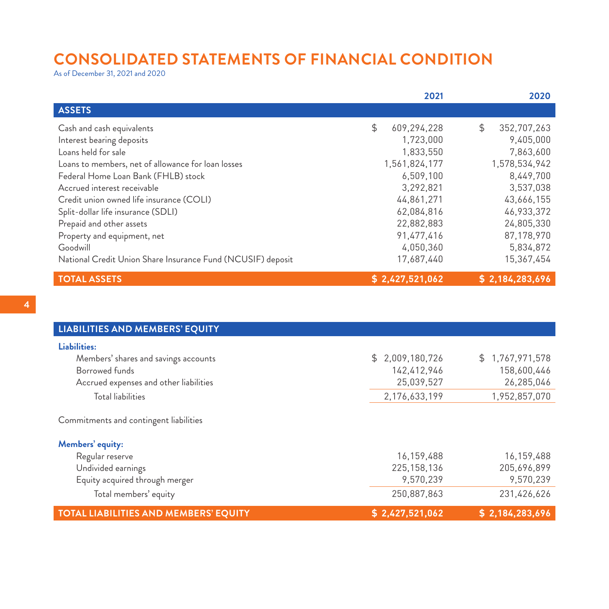# **CONSOLIDATED STATEMENTS OF FINANCIAL CONDITION**

As of December 31, 2021 and 2020

|                                                             | 2021              | 2020              |
|-------------------------------------------------------------|-------------------|-------------------|
| <b>ASSETS</b>                                               |                   |                   |
| Cash and cash equivalents                                   | \$<br>609,294,228 | \$<br>352,707,263 |
| Interest bearing deposits                                   | 1.723.000         | 9,405,000         |
| Loans held for sale                                         | 1,833,550         | 7,863,600         |
| Loans to members, net of allowance for loan losses          | 1,561,824,177     | 1,578,534,942     |
| Federal Home Loan Bank (FHLB) stock                         | 6.509.100         | 8,449,700         |
| Accrued interest receivable                                 | 3,292,821         | 3,537,038         |
| Credit union owned life insurance (COLI)                    | 44,861,271        | 43,666,155        |
| Split-dollar life insurance (SDLI)                          | 62.084.816        | 46,933,372        |
| Prepaid and other assets                                    | 22,882,883        | 24,805,330        |
| Property and equipment, net                                 | 91,477,416        | 87,178,970        |
| Goodwill                                                    | 4,050,360         | 5,834,872         |
| National Credit Union Share Insurance Fund (NCUSIF) deposit | 17,687,440        | 15,367,454        |
| <b>TOTAL ASSETS</b>                                         | \$2,427,521,062   | \$2,184,283,696   |

| <b>LIABILITIES AND MEMBERS' EQUITY</b>       |                 |                 |
|----------------------------------------------|-----------------|-----------------|
| Liabilities:                                 |                 |                 |
| Members' shares and savings accounts         | \$2,009,180,726 | \$1,767,971,578 |
| Borrowed funds                               | 142,412,946     | 158,600,446     |
| Accrued expenses and other liabilities       | 25,039,527      | 26,285,046      |
| Total liabilities                            | 2,176,633,199   | 1.952.857.070   |
| Commitments and contingent liabilities       |                 |                 |
| Members' equity:                             |                 |                 |
| Regular reserve                              | 16,159,488      | 16,159,488      |
| Undivided earnings                           | 225, 158, 136   | 205,696,899     |
| Equity acquired through merger               | 9.570.239       | 9,570,239       |
| Total members' equity                        | 250,887,863     | 231,426,626     |
| <b>TOTAL LIABILITIES AND MEMBERS' EQUITY</b> | \$2,427,521,062 | \$2,184,283,696 |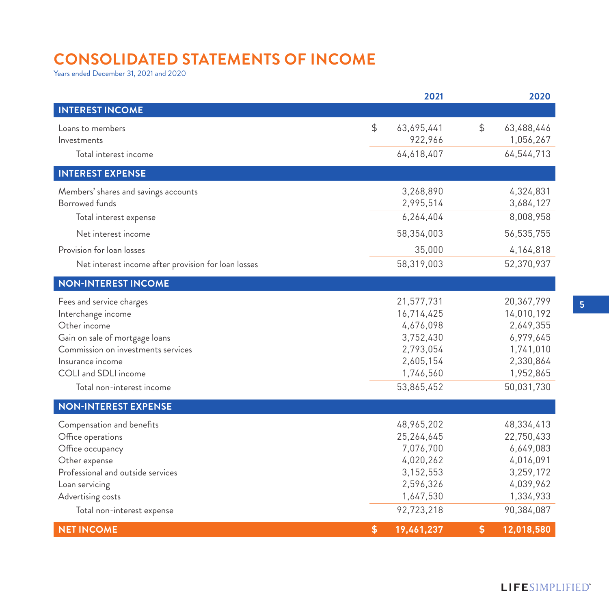# **CONSOLIDATED STATEMENTS OF INCOME**

Years ended December 31, 2021 and 2020

|                                                     | 2021             |               | 2020       |
|-----------------------------------------------------|------------------|---------------|------------|
| <b>INTEREST INCOME</b>                              |                  |               |            |
| Loans to members                                    | \$<br>63,695,441 | $\frac{1}{2}$ | 63,488,446 |
| Investments                                         | 922,966          |               | 1,056,267  |
| Total interest income                               | 64,618,407       |               | 64,544,713 |
| <b>INTEREST EXPENSE</b>                             |                  |               |            |
| Members' shares and savings accounts                | 3,268,890        |               | 4,324,831  |
| <b>Borrowed funds</b>                               | 2,995,514        |               | 3,684,127  |
| Total interest expense                              | 6,264,404        |               | 8,008,958  |
| Net interest income                                 | 58,354,003       |               | 56,535,755 |
| Provision for loan losses                           | 35,000           |               | 4,164,818  |
| Net interest income after provision for loan losses | 58,319,003       |               | 52,370,937 |
| <b>NON-INTEREST INCOME</b>                          |                  |               |            |
| Fees and service charges                            | 21,577,731       |               | 20,367,799 |
| Interchange income                                  | 16,714,425       |               | 14,010,192 |
| Other income                                        | 4,676,098        |               | 2,649,355  |
| Gain on sale of mortgage loans                      | 3,752,430        |               | 6,979,645  |
| Commission on investments services                  | 2,793,054        |               | 1,741,010  |
| Insurance income                                    | 2,605,154        |               | 2,330,864  |
| COLI and SDLI income                                | 1,746,560        |               | 1,952,865  |
| Total non-interest income                           | 53,865,452       |               | 50,031,730 |
| <b>NON-INTEREST EXPENSE</b>                         |                  |               |            |
| Compensation and benefits                           | 48,965,202       |               | 48,334,413 |
| Office operations                                   | 25,264,645       |               | 22,750,433 |
| Office occupancy                                    | 7,076,700        |               | 6,649,083  |
| Other expense                                       | 4,020,262        |               | 4,016,091  |
| Professional and outside services                   | 3,152,553        |               | 3,259,172  |
| Loan servicing                                      | 2,596,326        |               | 4,039,962  |
| Advertising costs                                   | 1,647,530        |               | 1,334,933  |
| Total non-interest expense                          | 92,723,218       |               | 90,384,087 |
| <b>NET INCOME</b>                                   | \$<br>19,461,237 | \$            | 12,018,580 |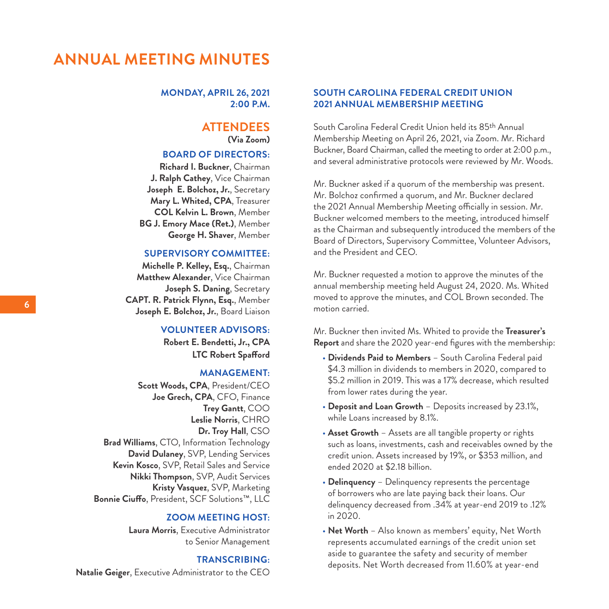## **ANNUAL MEETING MINUTES**

**MONDAY, APRIL 26, 2021 2:00 P.M.**

### **ATTENDEES (Via Zoom)**

### **BOARD OF DIRECTORS:**

**Richard I. Buckner**, Chairman **J. Ralph Cathey**, Vice Chairman **Joseph E. Bolchoz, Jr.**, Secretary **Mary L. Whited, CPA**, Treasurer **COL Kelvin L. Brown**, Member **BG J. Emory Mace (Ret.)**, Member **George H. Shaver**, Member

#### **SUPERVISORY COMMITTEE:**

**Michelle P. Kelley, Esq.**, Chairman **Matthew Alexander**, Vice Chairman **Joseph S. Daning**, Secretary **CAPT. R. Patrick Flynn, Esq.**, Member **Joseph E. Bolchoz, Jr.**, Board Liaison

### **VOLUNTEER ADVISORS:**

**Robert E. Bendetti, Jr., CPA LTC Robert Spafford**

#### **MANAGEMENT:**

**Scott Woods, CPA**, President/CEO **Joe Grech, CPA**, CFO, Finance **Trey Gantt**, COO **Leslie Norris**, CHRO **Dr. Troy Hall**, CSO **Brad Williams**, CTO, Information Technology **David Dulaney**, SVP, Lending Services **Kevin Kosco**, SVP, Retail Sales and Service **Nikki Thompson**, SVP, Audit Services **Kristy Vasquez**, SVP, Marketing **Bonnie Ciuffo**, President, SCF Solutions™, LLC

### **ZOOM MEETING HOST:**

**Laura Morris**, Executive Administrator to Senior Management

### **TRANSCRIBING: Natalie Geiger**, Executive Administrator to the CEO

### **SOUTH CAROLINA FEDERAL CREDIT UNION 2021 ANNUAL MEMBERSHIP MEETING**

South Carolina Federal Credit Union held its 85th Annual Membership Meeting on April 26, 2021, via Zoom. Mr. Richard Buckner, Board Chairman, called the meeting to order at 2:00 p.m., and several administrative protocols were reviewed by Mr. Woods.

Mr. Buckner asked if a quorum of the membership was present. Mr. Bolchoz confirmed a quorum, and Mr. Buckner declared the 2021 Annual Membership Meeting officially in session. Mr. Buckner welcomed members to the meeting, introduced himself as the Chairman and subsequently introduced the members of the Board of Directors, Supervisory Committee, Volunteer Advisors, and the President and CEO.

Mr. Buckner requested a motion to approve the minutes of the annual membership meeting held August 24, 2020. Ms. Whited moved to approve the minutes, and COL Brown seconded. The motion carried.

Mr. Buckner then invited Ms. Whited to provide the **Treasurer's Report** and share the 2020 year-end figures with the membership:

- **Dividends Paid to Members** South Carolina Federal paid \$4.3 million in dividends to members in 2020, compared to \$5.2 million in 2019. This was a 17% decrease, which resulted from lower rates during the year.
- **Deposit and Loan Growth** Deposits increased by 23.1%, while Loans increased by 8.1%.
- **Asset Growth** Assets are all tangible property or rights such as loans, investments, cash and receivables owned by the credit union. Assets increased by 19%, or \$353 million, and ended 2020 at \$2.18 billion.
- **Delinquency** Delinquency represents the percentage of borrowers who are late paying back their loans. Our delinquency decreased from .34% at year-end 2019 to .12% in 2020.
- **Net Worth** Also known as members' equity, Net Worth represents accumulated earnings of the credit union set aside to guarantee the safety and security of member deposits. Net Worth decreased from 11.60% at year-end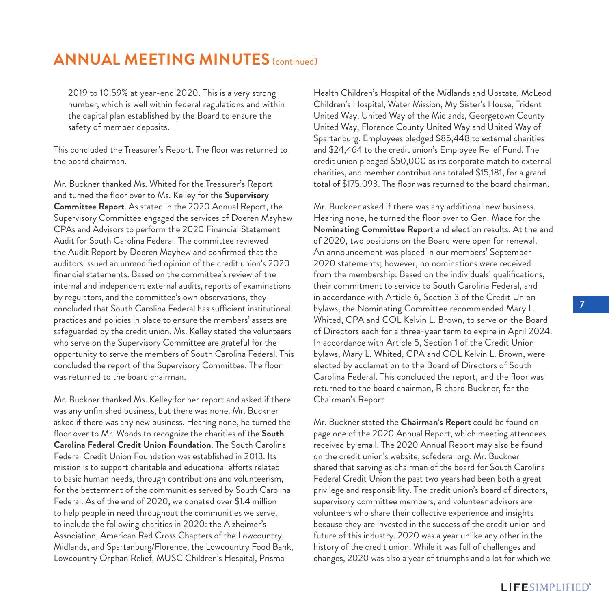# **ANNUAL MEETING MINUTES** (continued)

2019 to 10.59% at year-end 2020. This is a very strong number, which is well within federal regulations and within the capital plan established by the Board to ensure the safety of member deposits.

This concluded the Treasurer's Report. The floor was returned to the board chairman.

Mr. Buckner thanked Ms. Whited for the Treasurer's Report and turned the floor over to Ms. Kelley for the **Supervisory Committee Report**. As stated in the 2020 Annual Report, the Supervisory Committee engaged the services of Doeren Mayhew CPAs and Advisors to perform the 2020 Financial Statement Audit for South Carolina Federal. The committee reviewed the Audit Report by Doeren Mayhew and confirmed that the auditors issued an unmodified opinion of the credit union's 2020 financial statements. Based on the committee's review of the internal and independent external audits, reports of examinations by regulators, and the committee's own observations, they concluded that South Carolina Federal has sufficient institutional practices and policies in place to ensure the members' assets are safeguarded by the credit union. Ms. Kelley stated the volunteers who serve on the Supervisory Committee are grateful for the opportunity to serve the members of South Carolina Federal. This concluded the report of the Supervisory Committee. The floor was returned to the board chairman.

Mr. Buckner thanked Ms. Kelley for her report and asked if there was any unfinished business, but there was none. Mr. Buckner asked if there was any new business. Hearing none, he turned the floor over to Mr. Woods to recognize the charities of the **South Carolina Federal Credit Union Foundation**. The South Carolina Federal Credit Union Foundation was established in 2013. Its mission is to support charitable and educational efforts related to basic human needs, through contributions and volunteerism, for the betterment of the communities served by South Carolina Federal. As of the end of 2020, we donated over \$1.4 million to help people in need throughout the communities we serve, to include the following charities in 2020: the Alzheimer's Association, American Red Cross Chapters of the Lowcountry, Midlands, and Spartanburg/Florence, the Lowcountry Food Bank, Lowcountry Orphan Relief, MUSC Children's Hospital, Prisma

Health Children's Hospital of the Midlands and Upstate, McLeod Children's Hospital, Water Mission, My Sister's House, Trident United Way, United Way of the Midlands, Georgetown County United Way, Florence County United Way and United Way of Spartanburg. Employees pledged \$85,448 to external charities and \$24,464 to the credit union's Employee Relief Fund. The credit union pledged \$50,000 as its corporate match to external charities, and member contributions totaled \$15,181, for a grand total of \$175,093. The floor was returned to the board chairman.

Mr. Buckner asked if there was any additional new business. Hearing none, he turned the floor over to Gen. Mace for the **Nominating Committee Report** and election results. At the end of 2020, two positions on the Board were open for renewal. An announcement was placed in our members' September 2020 statements; however, no nominations were received from the membership. Based on the individuals' qualifications, their commitment to service to South Carolina Federal, and in accordance with Article 6, Section 3 of the Credit Union bylaws, the Nominating Committee recommended Mary L. Whited, CPA and COL Kelvin L. Brown, to serve on the Board of Directors each for a three-year term to expire in April 2024. In accordance with Article 5, Section 1 of the Credit Union bylaws, Mary L. Whited, CPA and COL Kelvin L. Brown, were elected by acclamation to the Board of Directors of South Carolina Federal. This concluded the report, and the floor was returned to the board chairman, Richard Buckner, for the Chairman's Report

Mr. Buckner stated the **Chairman's Report** could be found on page one of the 2020 Annual Report, which meeting attendees received by email. The 2020 Annual Report may also be found on the credit union's website, scfederal.org. Mr. Buckner shared that serving as chairman of the board for South Carolina Federal Credit Union the past two years had been both a great privilege and responsibility. The credit union's board of directors, supervisory committee members, and volunteer advisors are volunteers who share their collective experience and insights because they are invested in the success of the credit union and future of this industry. 2020 was a year unlike any other in the history of the credit union. While it was full of challenges and changes, 2020 was also a year of triumphs and a lot for which we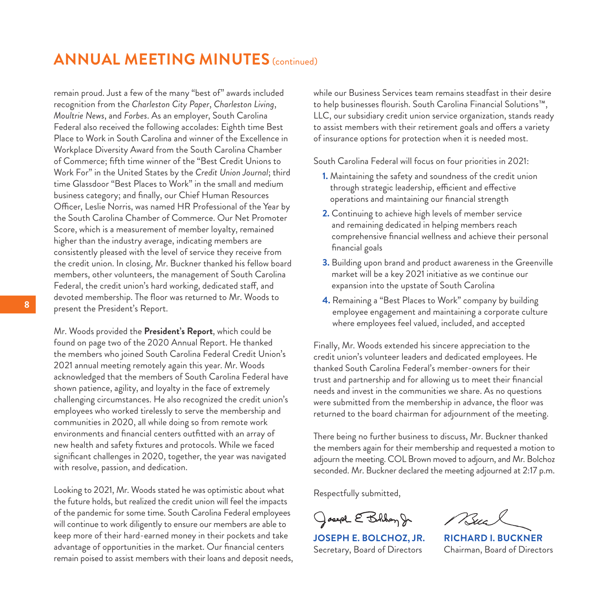# **ANNUAL MEETING MINUTES** (continued)

remain proud. Just a few of the many "best of" awards included recognition from the *Charleston City Paper*, *Charleston Living*, *Moultrie News*, and *Forbes*. As an employer, South Carolina Federal also received the following accolades: Eighth time Best Place to Work in South Carolina and winner of the Excellence in Workplace Diversity Award from the South Carolina Chamber of Commerce; fifth time winner of the "Best Credit Unions to Work For" in the United States by the *Credit Union Journal*; third time Glassdoor "Best Places to Work" in the small and medium business category; and finally, our Chief Human Resources Officer, Leslie Norris, was named HR Professional of the Year by the South Carolina Chamber of Commerce. Our Net Promoter Score, which is a measurement of member loyalty, remained higher than the industry average, indicating members are consistently pleased with the level of service they receive from the credit union. In closing, Mr. Buckner thanked his fellow board members, other volunteers, the management of South Carolina Federal, the credit union's hard working, dedicated staff, and devoted membership. The floor was returned to Mr. Woods to present the President's Report.

Mr. Woods provided the **President's Report**, which could be found on page two of the 2020 Annual Report. He thanked the members who joined South Carolina Federal Credit Union's 2021 annual meeting remotely again this year. Mr. Woods acknowledged that the members of South Carolina Federal have shown patience, agility, and loyalty in the face of extremely challenging circumstances. He also recognized the credit union's employees who worked tirelessly to serve the membership and communities in 2020, all while doing so from remote work environments and financial centers outfitted with an array of new health and safety fixtures and protocols. While we faced significant challenges in 2020, together, the year was navigated with resolve, passion, and dedication.

Looking to 2021, Mr. Woods stated he was optimistic about what the future holds, but realized the credit union will feel the impacts of the pandemic for some time. South Carolina Federal employees will continue to work diligently to ensure our members are able to keep more of their hard-earned money in their pockets and take advantage of opportunities in the market. Our financial centers remain poised to assist members with their loans and deposit needs, while our Business Services team remains steadfast in their desire to help businesses flourish. South Carolina Financial Solutions™, LLC, our subsidiary credit union service organization, stands ready to assist members with their retirement goals and offers a variety of insurance options for protection when it is needed most.

South Carolina Federal will focus on four priorities in 2021:

- **1.** Maintaining the safety and soundness of the credit union through strategic leadership, efficient and effective operations and maintaining our financial strength
- **2.** Continuing to achieve high levels of member service and remaining dedicated in helping members reach comprehensive financial wellness and achieve their personal financial goals
- **3.** Building upon brand and product awareness in the Greenville market will be a key 2021 initiative as we continue our expansion into the upstate of South Carolina
- **4.** Remaining a "Best Places to Work" company by building employee engagement and maintaining a corporate culture where employees feel valued, included, and accepted

Finally, Mr. Woods extended his sincere appreciation to the credit union's volunteer leaders and dedicated employees. He thanked South Carolina Federal's member-owners for their trust and partnership and for allowing us to meet their financial needs and invest in the communities we share. As no questions were submitted from the membership in advance, the floor was returned to the board chairman for adjournment of the meeting.

There being no further business to discuss, Mr. Buckner thanked the members again for their membership and requested a motion to adjourn the meeting. COL Brown moved to adjourn, and Mr. Bolchoz seconded. Mr. Buckner declared the meeting adjourned at 2:17 p.m.

Respectfully submitted,

Joseph E Bolhom Jr

**JOSEPH E. BOLCHOZ, JR. RICHARD I. BUCKNER** Secretary, Board of Directors Chairman, Board of Directors

Buc